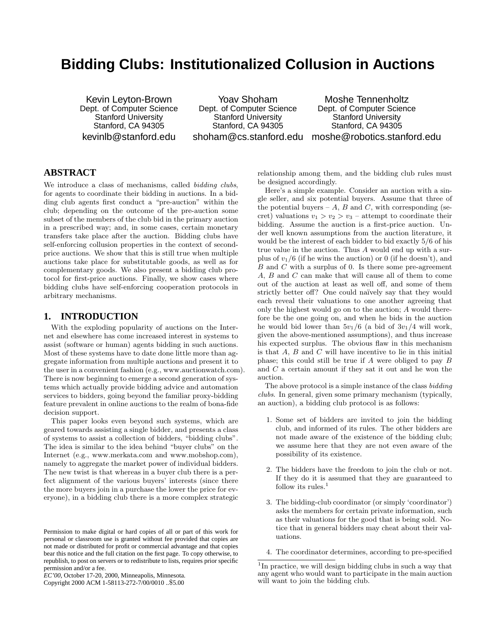# **Bidding Clubs: Institutionalized Collusion in Auctions**

Kevin Leyton-Brown Dept. of Computer Science Stanford University Stanford, CA 94305 kevinlb@stanford.edu

Yoav Shoham Dept. of Computer Science Stanford University Stanford, CA 94305

shoham@cs.stanford.edu moshe@robotics.stanford.edu Moshe Tennenholtz Dept. of Computer Science Stanford University Stanford, CA 94305

# **ABSTRACT**

We introduce a class of mechanisms, called bidding clubs, for agents to coordinate their bidding in auctions. In a bidding club agents first conduct a "pre-auction" within the club; depending on the outcome of the pre-auction some subset of the members of the club bid in the primary auction in a prescribed way; and, in some cases, certain monetary transfers take place after the auction. Bidding clubs have self-enforcing collusion properties in the context of secondprice auctions. We show that this is still true when multiple auctions take place for substitutable goods, as well as for complementary goods. We also present a bidding club protocol for first-price auctions. Finally, we show cases where bidding clubs have self-enforcing cooperation protocols in arbitrary mechanisms.

### **1. INTRODUCTION**

With the exploding popularity of auctions on the Internet and elsewhere has come increased interest in systems to assist (software or human) agents bidding in such auctions. Most of these systems have to date done little more than aggregate information from multiple auctions and present it to the user in a convenient fashion (e.g., www.auctionwatch.com). There is now beginning to emerge a second generation of systems which actually provide bidding advice and automation services to bidders, going beyond the familiar proxy-bidding feature prevalent in online auctions to the realm of bona-fide decision support.

This paper looks even beyond such systems, which are geared towards assisting a single bidder, and presents a class of systems to assist a collection of bidders, "bidding clubs". The idea is similar to the idea behind "buyer clubs" on the Internet (e.g., www.merkata.com and www.mobshop.com), namely to aggregate the market power of individual bidders. The new twist is that whereas in a buyer club there is a perfect alignment of the various buyers' interests (since there the more buyers join in a purchase the lower the price for everyone), in a bidding club there is a more complex strategic

Copyright 2000 ACM 1-58113-272-7/00/0010 ..\$5.00

relationship among them, and the bidding club rules must be designed accordingly.

Here's a simple example. Consider an auction with a single seller, and six potential buyers. Assume that three of the potential buyers – A, B and C, with corresponding (secret) valuations  $v_1 > v_2 > v_3$  – attempt to coordinate their bidding. Assume the auction is a first-price auction. Under well known assumptions from the auction literature, it would be the interest of each bidder to bid exactly 5/6 of his true value in the auction. Thus A would end up with a surplus of  $v_1/6$  (if he wins the auction) or 0 (if he doesn't), and  $B$  and  $C$  with a surplus of 0. Is there some pre-agreement A, B and C can make that will cause all of them to come out of the auction at least as well off, and some of them strictly better off? One could naïvely say that they would each reveal their valuations to one another agreeing that only the highest would go on to the auction; A would therefore be the one going on, and when he bids in the auction he would bid lower than  $5v_1/6$  (a bid of  $3v_1/4$  will work, given the above-mentioned assumptions), and thus increase his expected surplus. The obvious flaw in this mechanism is that  $A$ ,  $B$  and  $C$  will have incentive to lie in this initial phase; this could still be true if A were obliged to pay B and C a certain amount if they sat it out and he won the auction.

The above protocol is a simple instance of the class bidding clubs. In general, given some primary mechanism (typically, an auction), a bidding club protocol is as follows:

- 1. Some set of bidders are invited to join the bidding club, and informed of its rules. The other bidders are not made aware of the existence of the bidding club; we assume here that they are not even aware of the possibility of its existence.
- 2. The bidders have the freedom to join the club or not. If they do it is assumed that they are guaranteed to follow its rules. $<sup>1</sup>$ </sup>
- 3. The bidding-club coordinator (or simply 'coordinator') asks the members for certain private information, such as their valuations for the good that is being sold. Notice that in general bidders may cheat about their valuations.
- 4. The coordinator determines, according to pre-specified

Permission to make digital or hard copies of all or part of this work for personal or classroom use is granted without fee provided that copies are not made or distributed for profit or commercial advantage and that copies bear this notice and the full citation on the first page. To copy otherwise, to republish, to post on servers or to redistribute to lists, requires prior specific permission and/or a fee.

*EC'00,* October 17-20, 2000, Minneapolis, Minnesota.

<sup>&</sup>lt;sup>1</sup>In practice, we will design bidding clubs in such a way that any agent who would want to participate in the main auction will want to join the bidding club.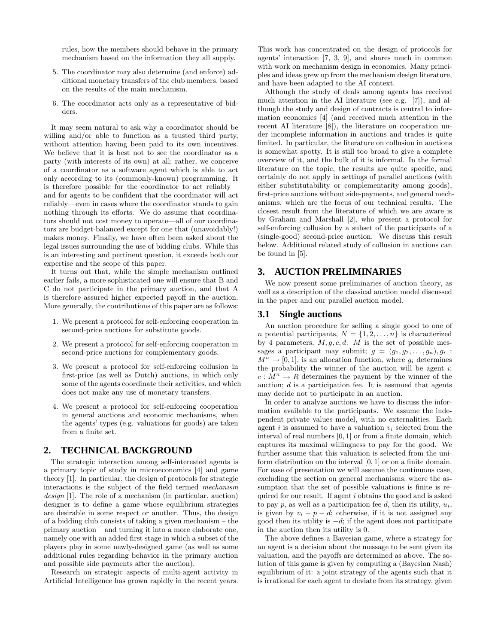rules, how the members should behave in the primary mechanism based on the information they all supply.

- 5. The coordinator may also determine (and enforce) additional monetary transfers of the club members, based on the results of the main mechanism.
- 6. The coordinator acts only as a representative of bidders.

It may seem natural to ask why a coordinator should be willing and/or able to function as a trusted third party, without attention having been paid to its own incentives. We believe that it is best not to see the coordinator as a party (with interests of its own) at all; rather, we conceive of a coordinator as a software agent which is able to act only according to its (commonly-known) programming. It is therefore possible for the coordinator to act reliably and for agents to be confident that the coordinator will act reliably—even in cases where the coordinator stands to gain nothing through its efforts. We do assume that coordinators should not cost money to operate—all of our coordinators are budget-balanced except for one that (unavoidably!) makes money. Finally, we have often been asked about the legal issues surrounding the use of bidding clubs. While this is an interesting and pertinent question, it exceeds both our expertise and the scope of this paper.

It turns out that, while the simple mechanism outlined earlier fails, a more sophisticated one will ensure that B and C do not participate in the primary auction, and that A is therefore assured higher expected payoff in the auction. More generally, the contributions of this paper are as follows:

- 1. We present a protocol for self-enforcing cooperation in second-price auctions for substitute goods.
- 2. We present a protocol for self-enforcing cooperation in second-price auctions for complementary goods.
- 3. We present a protocol for self-enforcing collusion in first-price (as well as Dutch) auctions, in which only some of the agents coordinate their activities, and which does not make any use of monetary transfers.
- 4. We present a protocol for self-enforcing cooperation in general auctions and economic mechanisms, when the agents' types (e.g. valuations for goods) are taken from a finite set.

# **2. TECHNICAL BACKGROUND**

The strategic interaction among self-interested agents is a primary topic of study in microeconomics [4] and game theory [1]. In particular, the design of protocols for strategic interactions is the subject of the field termed mechanism design [1]. The role of a mechanism (in particular, auction) designer is to define a game whose equilibrium strategies are desirable in some respect or another. Thus, the design of a bidding club consists of taking a given mechanism – the primary auction – and turning it into a more elaborate one, namely one with an added first stage in which a subset of the players play in some newly-designed game (as well as some additional rules regarding behavior in the primary auction and possible side payments after the auction).

Research on strategic aspects of multi-agent activity in Artificial Intelligence has grown rapidly in the recent years.

This work has concentrated on the design of protocols for agents' interaction [7, 3, 9], and shares much in common with work on mechanism design in economics. Many principles and ideas grew up from the mechanism design literature, and have been adapted to the AI context.

Although the study of deals among agents has received much attention in the AI literature (see e.g. [7]), and although the study and design of contracts is central to information economics [4] (and received much attention in the recent AI literature [8]), the literature on cooperation under incomplete information in auctions and trades is quite limited. In particular, the literature on collusion in auctions is somewhat spotty. It is still too broad to give a complete overview of it, and the bulk of it is informal. In the formal literature on the topic, the results are quite specific, and certainly do not apply in settings of parallel auctions (with either substitutability or complementarity among goods), first-price auctions without side-payments, and general mechanisms, which are the focus of our technical results. The closest result from the literature of which we are aware is by Graham and Marshall [2], who present a protocol for self-enforcing collusion by a subset of the participants of a (single-good) second-price auction. We discuss this result below. Additional related study of collusion in auctions can be found in [5].

### **3. AUCTION PRELIMINARIES**

We now present some preliminaries of auction theory, as well as a description of the classical auction model discussed in the paper and our parallel auction model.

### **3.1 Single auctions**

An auction procedure for selling a single good to one of n potential participants,  $N = \{1, 2, \ldots, n\}$  is characterized by 4 parameters,  $M, g, c, d$ : M is the set of possible messages a participant may submit;  $g = (g_1, g_2, \ldots, g_n), g_i$ :  $M^n \to [0, 1]$ , is an allocation function, where  $g_i$  determines the probability the winner of the auction will be agent  $i$ ;  $c: M^n \rightarrow R$  determines the payment by the winner of the auction;  $d$  is a participation fee. It is assumed that agents may decide not to participate in an auction.

In order to analyze auctions we have to discuss the information available to the participants. We assume the independent private values model, with no externalities. Each agent i is assumed to have a valuation  $v_i$  selected from the interval of real numbers [0, 1] or from a finite domain, which captures its maximal willingness to pay for the good. We further assume that this valuation is selected from the uniform distribution on the interval [0, 1] or on a finite domain. For ease of presentation we will assume the continuous case, excluding the section on general mechanisms, where the assumption that the set of possible valuations is finite is required for our result. If agent i obtains the good and is asked to pay p, as well as a participation fee d, then its utility,  $u_i$ , is given by  $v_i - p - d$ ; otherwise, if it is not assigned any good then its utility is  $-d$ ; if the agent does not participate in the auction then its utility is 0.

The above defines a Bayesian game, where a strategy for an agent is a decision about the message to be sent given its valuation, and the payoffs are determined as above. The solution of this game is given by computing a (Bayesian Nash) equilibrium of it: a joint strategy of the agents such that it is irrational for each agent to deviate from its strategy, given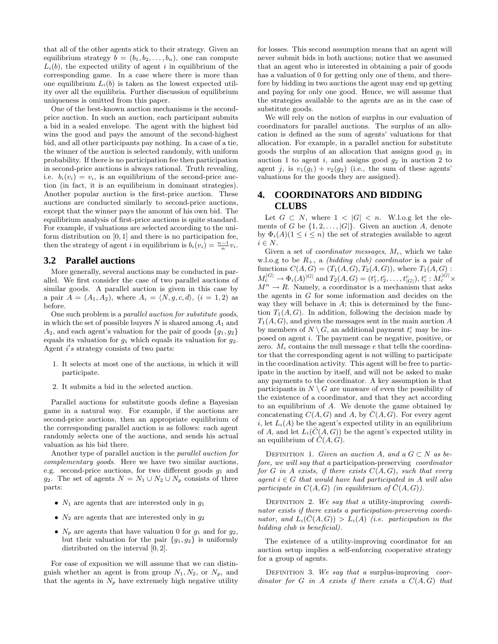that all of the other agents stick to their strategy. Given an equilibrium strategy  $b = (b_1, b_2, \ldots, b_n)$ , one can compute  $L<sub>i</sub>(b)$ , the expected utility of agent i in equilibrium of the corresponding game. In a case where there is more than one equilibrium  $L<sub>i</sub>(b)$  is taken as the lowest expected utility over all the equilibria. Further discussion of equilibrium uniqueness is omitted from this paper.

One of the best-known auction mechanisms is the secondprice auction. In such an auction, each participant submits a bid in a sealed envelope. The agent with the highest bid wins the good and pays the amount of the second-highest bid, and all other participants pay nothing. In a case of a tie, the winner of the auction is selected randomly, with uniform probability. If there is no participation fee then participation in second-price auctions is always rational. Truth revealing, i.e.  $b_i(v_i) = v_i$ , is an equilibrium of the second-price auction (in fact, it is an equilibrium in dominant strategies). Another popular auction is the first-price auction. These auctions are conducted similarly to second-price auctions, except that the winner pays the amount of his own bid. The equilibrium analysis of first-price auctions is quite standard. For example, if valuations are selected according to the uniform distribution on  $[0, 1]$  and there is no participation fee, then the strategy of agent *i* in equilibrium is  $b_i(v_i) = \frac{n-1}{n}v_i$ .

### **3.2 Parallel auctions**

More generally, several auctions may be conducted in parallel. We first consider the case of two parallel auctions of similar goods. A parallel auction is given in this case by a pair  $A = (A_1, A_2)$ , where  $A_i = \langle N, g, c, d \rangle$ ,  $(i = 1, 2)$  as before.

One such problem is a parallel auction for substitute goods, in which the set of possible buyers  $N$  is shared among  $A_1$  and  $A_2$ , and each agent's valuation for the pair of goods  $\{g_1, g_2\}$ equals its valuation for  $g_1$  which equals its valuation for  $g_2$ . Agent  $i's$  strategy consists of two parts:

- 1. It selects at most one of the auctions, in which it will participate.
- 2. It submits a bid in the selected auction.

Parallel auctions for substitute goods define a Bayesian game in a natural way. For example, if the auctions are second-price auctions, then an appropriate equilibrium of the corresponding parallel auction is as follows: each agent randomly selects one of the auctions, and sends his actual valuation as his bid there.

Another type of parallel auction is the parallel auction for complementary goods. Here we have two similar auctions, e.g. second-price auctions, for two different goods  $g_1$  and g<sub>2</sub>. The set of agents  $N = N_1 \cup N_2 \cup N_p$  consists of three parts:

- $N_1$  are agents that are interested only in  $q_1$
- $N_2$  are agents that are interested only in  $q_2$
- $N_p$  are agents that have valuation 0 for  $g_1$  and for  $g_2$ , but their valuation for the pair  ${g_1, g_2}$  is uniformly distributed on the interval [0, 2].

For ease of exposition we will assume that we can distinguish whether an agent is from group  $N_1, N_2$ , or  $N_p$ , and that the agents in  $N_p$  have extremely high negative utility

for losses. This second assumption means that an agent will never submit bids in both auctions; notice that we assumed that an agent who is interested in obtaining a pair of goods has a valuation of 0 for getting only one of them, and therefore by bidding in two auctions the agent may end up getting and paying for only one good. Hence, we will assume that the strategies available to the agents are as in the case of substitute goods.

We will rely on the notion of surplus in our evaluation of coordinators for parallel auctions. The surplus of an allocation is defined as the sum of agents' valuations for that allocation. For example, in a parallel auction for substitute goods the surplus of an allocation that assigns good  $g_1$  in auction 1 to agent  $i$ , and assigns good  $g_2$  in auction 2 to agent j, is  $v_1(g_1) + v_2(g_2)$  (i.e., the sum of these agents' valuations for the goods they are assigned).

# **4. COORDINATORS AND BIDDING CLUBS**

Let  $G \subset N$ , where  $1 \lt |G| \lt n$ . W.l.o.g let the elements of G be  $\{1, 2, \ldots, |G|\}$ . Given an auction A, denote by  $\Phi_i(A)(1 \leq i \leq n)$  the set of strategies available to agent  $i \in N.$ 

Given a set of *coordinator messages*,  $M_c$ , which we take w.l.o.g to be  $R_+$ , a *(bidding club) coordinator* is a pair of functions  $C(A, G) = (T_1(A, G), T_2(A, G))$ , where  $T_1(A, G)$ :  $M_c^{|G|} \to \Phi_i(A)^{|G|}$  and  $T_2(A, G) = (t_1^c, t_2^c, \dots, t_{|G|}^c), t_i^c : M_c^{|G|} \times$  $M^n \to R$ . Namely, a coordinator is a mechanism that asks the agents in G for some information and decides on the way they will behave in  $A$ ; this is determined by the function  $T_1(A, G)$ . In addition, following the decision made by  $T_1(A, G)$ , and given the messages sent in the main auction A by members of  $N \setminus G$ , an additional payment  $t_i^c$  may be imposed on agent i. The payment can be negative, positive, or zero.  $M_c$  contains the null message  $e$  that tells the coordinator that the corresponding agent is not willing to participate in the coordination activity. This agent will be free to participate in the auction by itself, and will not be asked to make any payments to the coordinator. A key assumption is that participants in  $N \setminus G$  are unaware of even the possibility of the existence of a coordinator, and that they act according to an equilibrium of A. We denote the game obtained by concatenating  $C(A, G)$  and A, by  $\overline{C}(A, G)$ . For every agent i, let  $L_i(A)$  be the agent's expected utility in an equilibrium of A, and let  $L_i(\overline{C}(A, G))$  be the agent's expected utility in an equilibrium of  $\overline{C}(A, G)$ .

DEFINITION 1. Given an auction A, and a  $G \subset N$  as before, we will say that a participation-preserving coordinator for G in A exists, if there exists  $C(A, G)$ , such that every agent  $i \in G$  that would have had participated in A will also participate in  $C(A, G)$  (in equilibrium of  $\overline{C}(A, G)$ ).

DEFINITION 2. We say that a utility-improving coordinator exists if there exists a participation-preserving coordinator, and  $L_i(\overline{C}(A, G)) > L_i(A)$  (i.e. participation in the bidding club is beneficial).

The existence of a utility-improving coordinator for an auction setup implies a self-enforcing cooperative strategy for a group of agents.

DEFINITION 3. We say that a surplus-improving coordinator for G in A exists if there exists a  $C(A, G)$  that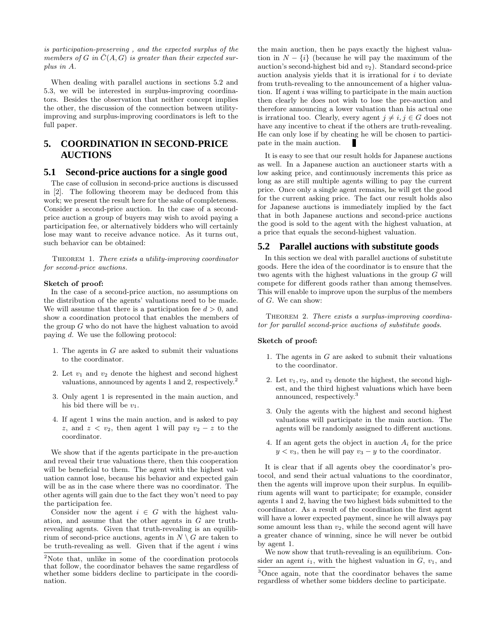is participation-preserving , and the expected surplus of the members of G in  $\overline{C}(A, G)$  is greater than their expected surplus in A.

When dealing with parallel auctions in sections 5.2 and 5.3, we will be interested in surplus-improving coordinators. Besides the observation that neither concept implies the other, the discussion of the connection between utilityimproving and surplus-improving coordinators is left to the full paper.

# **5. COORDINATION IN SECOND-PRICE AUCTIONS**

### **5.1 Second-price auctions for a single good**

The case of collusion in second-price auctions is discussed in [2]. The following theorem may be deduced from this work; we present the result here for the sake of completeness. Consider a second-price auction. In the case of a secondprice auction a group of buyers may wish to avoid paying a participation fee, or alternatively bidders who will certainly lose may want to receive advance notice. As it turns out, such behavior can be obtained:

Theorem 1. There exists a utility-improving coordinator for second-price auctions.

#### Sketch of proof:

In the case of a second-price auction, no assumptions on the distribution of the agents' valuations need to be made. We will assume that there is a participation fee  $d > 0$ , and show a coordination protocol that enables the members of the group G who do not have the highest valuation to avoid paying d. We use the following protocol:

- 1. The agents in G are asked to submit their valuations to the coordinator.
- 2. Let  $v_1$  and  $v_2$  denote the highest and second highest valuations, announced by agents 1 and 2, respectively.<sup>2</sup>
- 3. Only agent 1 is represented in the main auction, and his bid there will be  $v_1$ .
- 4. If agent 1 wins the main auction, and is asked to pay z, and  $z < v_2$ , then agent 1 will pay  $v_2 - z$  to the coordinator.

We show that if the agents participate in the pre-auction and reveal their true valuations there, then this cooperation will be beneficial to them. The agent with the highest valuation cannot lose, because his behavior and expected gain will be as in the case where there was no coordinator. The other agents will gain due to the fact they won't need to pay the participation fee.

Consider now the agent  $i \in G$  with the highest valuation, and assume that the other agents in G are truthrevealing agents. Given that truth-revealing is an equilibrium of second-price auctions, agents in  $N \setminus G$  are taken to be truth-revealing as well. Given that if the agent  $i$  wins

the main auction, then he pays exactly the highest valuation in  $N - \{i\}$  (because he will pay the maximum of the auction's second-highest bid and  $v_2$ ). Standard second-price auction analysis yields that it is irrational for  $i$  to deviate from truth-revealing to the announcement of a higher valuation. If agent i was willing to participate in the main auction then clearly he does not wish to lose the pre-auction and therefore announcing a lower valuation than his actual one is irrational too. Clearly, every agent  $j \neq i, j \in G$  does not have any incentive to cheat if the others are truth-revealing. He can only lose if by cheating he will be chosen to participate in the main auction.

It is easy to see that our result holds for Japanese auctions as well. In a Japanese auction an auctioneer starts with a low asking price, and continuously increments this price as long as are still multiple agents willing to pay the current price. Once only a single agent remains, he will get the good for the current asking price. The fact our result holds also for Japanese auctions is immediately implied by the fact that in both Japanese auctions and second-price auctions the good is sold to the agent with the highest valuation, at a price that equals the second-highest valuation.

### **5.2 Parallel auctions with substitute goods**

In this section we deal with parallel auctions of substitute goods. Here the idea of the coordinator is to ensure that the two agents with the highest valuations in the group G will compete for different goods rather than among themselves. This will enable to improve upon the surplus of the members of G. We can show:

THEOREM 2. There exists a surplus-improving coordinator for parallel second-price auctions of substitute goods.

### Sketch of proof:

- 1. The agents in  $G$  are asked to submit their valuations to the coordinator.
- 2. Let  $v_1, v_2$ , and  $v_3$  denote the highest, the second highest, and the third highest valuations which have been announced, respectively.<sup>3</sup>
- 3. Only the agents with the highest and second highest valuations will participate in the main auction. The agents will be randomly assigned to different auctions.
- 4. If an agent gets the object in auction  $A_i$  for the price  $y < v_3$ , then he will pay  $v_3 - y$  to the coordinator.

It is clear that if all agents obey the coordinator's protocol, and send their actual valuations to the coordinator, then the agents will improve upon their surplus. In equilibrium agents will want to participate; for example, consider agents 1 and 2, having the two highest bids submitted to the coordinator. As a result of the coordination the first agent will have a lower expected payment, since he will always pay some amount less than  $v_2$ , while the second agent will have a greater chance of winning, since he will never be outbid by agent 1.

We now show that truth-revealing is an equilibrium. Consider an agent  $i_1$ , with the highest valuation in  $G$ ,  $v_1$ , and

<sup>2</sup>Note that, unlike in some of the coordination protocols that follow, the coordinator behaves the same regardless of whether some bidders decline to participate in the coordination.

<sup>3</sup>Once again, note that the coordinator behaves the same regardless of whether some bidders decline to participate.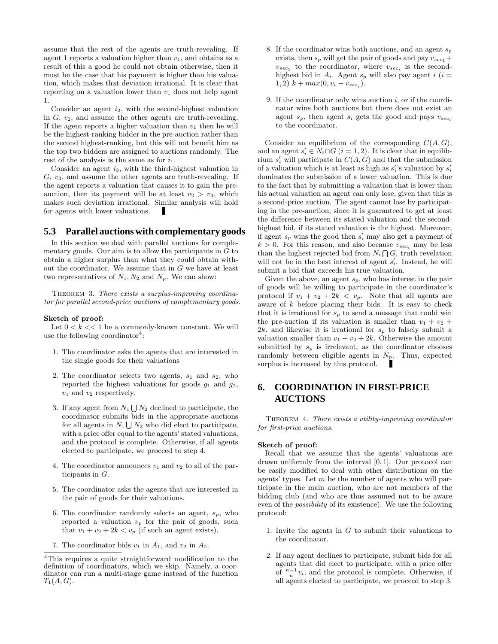assume that the rest of the agents are truth-revealing. If agent 1 reports a valuation higher than  $v_1$ , and obtains as a result of this a good he could not obtain otherwise, then it must be the case that his payment is higher than his valuation, which makes that deviation irrational. It is clear that reporting on a valuation lower than  $v_1$  does not help agent 1.

Consider an agent  $i_2$ , with the second-highest valuation in  $G, v_2$ , and assume the other agents are truth-revealing. If the agent reports a higher valuation than  $v_1$  then he will be the highest-ranking bidder in the pre-auction rather than the second highest-ranking, but this will not benefit him as the top two bidders are assigned to auctions randomly. The rest of the analysis is the same as for  $i_1$ .

Consider an agent i3, with the third-highest valuation in  $G, v_3$ , and assume the other agents are truth-revealing. If the agent reports a valuation that causes it to gain the preauction, then its payment will be at least  $v_2 > v_3$ , which makes such deviation irrational. Similar analysis will hold for agents with lower valuations. п

# **5.3 Parallel auctions with complementary goods**

In this section we deal with parallel auctions for complementary goods. Our aim is to allow the participants in  $G$  to obtain a higher surplus than what they could obtain without the coordinator. We assume that in  $G$  we have at least two representatives of  $N_1, N_2$  and  $N_p$ . We can show:

THEOREM 3. There exists a surplus-improving coordinator for parallel second-price auctions of complementary goods.

### Sketch of proof:

Let  $0 < k < 1$  be a commonly-known constant. We will use the following coordinator<sup>4</sup>:

- 1. The coordinator asks the agents that are interested in the single goods for their valuations
- 2. The coordinator selects two agents,  $s_1$  and  $s_2$ , who reported the highest valuations for goods  $g_1$  and  $g_2$ ,  $v_1$  and  $v_2$  respectively.
- 3. If any agent from  $N_1 \bigcup N_2$  declined to participate, the coordinator submits bids in the appropriate auctions for all agents in  $N_1 \bigcup N_2$  who did elect to participate, with a price offer equal to the agents' stated valuations, and the protocol is complete. Otherwise, if all agents elected to participate, we proceed to step 4.
- 4. The coordinator announces  $v_1$  and  $v_2$  to all of the participants in G.
- 5. The coordinator asks the agents that are interested in the pair of goods for their valuations.
- 6. The coordinator randomly selects an agent,  $s_p$ , who reported a valuation  $v_p$  for the pair of goods, such that  $v_1 + v_2 + 2k < v_p$  (if such an agent exists).
- 7. The coordinator bids  $v_1$  in  $A_1$ , and  $v_2$  in  $A_2$ .
- 8. If the coordinator wins both auctions, and an agent  $s_p$ exists, then  $s_p$  will get the pair of goods and pay  $v_{sec_1}$  +  $v_{sec_2}$  to the coordinator, where  $v_{sec_i}$  is the secondhighest bid in  $A_i$ . Agent  $s_p$  will also pay agent  $i$  ( $i =$ 1, 2)  $k + max(0, v_i - v_{sec_i}).$
- 9. If the coordinator only wins auction  $i$ , or if the coordinator wins both auctions but there does not exist an agent  $s_p$ , then agent  $s_i$  gets the good and pays  $v_{sec_i}$ to the coordinator.

Consider an equilibrium of the corresponding  $\overline{C}(A, G)$ , and an agent  $s'_i \in N_i \cap G$   $(i = 1, 2)$ . It is clear that in equilibrium  $s_i'$  will participate in  $C(A, G)$  and that the submission of a valuation which is at least as high as  $s_i$ 's valuation by  $s_i$ ' dominates the submission of a lower valuation. This is due to the fact that by submitting a valuation that is lower than his actual valuation an agent can only lose, given that this is a second-price auction. The agent cannot lose by participating in the pre-auction, since it is guaranteed to get at least the difference between its stated valuation and the secondhighest bid, if its stated valuation is the highest. Moreover, if agent  $s_p$  wins the good then  $s_i'$  may also get a payment of  $k > 0$ . For this reason, and also because  $v_{sec_i}$  may be less than the highest rejected bid from  $N_i \bigcap G$ , truth revelation will not be in the best interest of agent  $s_i'$ . Instead, he will submit a bid that exceeds his true valuation.

Given the above, an agent  $s_p$ , who has interest in the pair of goods will be willing to participate in the coordinator's protocol if  $v_1 + v_2 + 2k < v_p$ . Note that all agents are aware of  $k$  before placing their bids. It is easy to check that it is irrational for  $s_p$  to send a message that could win the pre-auction if its valuation is smaller than  $v_1 + v_2 +$ 2k, and likewise it is irrational for  $s_p$  to falsely submit a valuation smaller than  $v_1 + v_2 + 2k$ . Otherwise the amount submitted by  $s_p$  is irrelevant, as the coordinator chooses randomly between eligible agents in  $N_{p}$ . Thus, expected surplus is increased by this protocol.

# **6. COORDINATION IN FIRST-PRICE AUCTIONS**

THEOREM 4. There exists a utility-improving coordinator for first-price auctions.

#### Sketch of proof:

Recall that we assume that the agents' valuations are drawn uniformly from the interval [0, 1]. Our protocol can be easily modified to deal with other distributions on the agents' types. Let  $m$  be the number of agents who will participate in the main auction, who are not members of the bidding club (and who are thus assumed not to be aware even of the possibility of its existence). We use the following protocol:

- 1. Invite the agents in  $G$  to submit their valuations to the coordinator.
- 2. If any agent declines to participate, submit bids for all agents that did elect to participate, with a price offer of  $\frac{n-1}{n}v_i$ , and the protocol is complete. Otherwise, if all agents elected to participate, we proceed to step 3.

<sup>4</sup>This requires a quite straightforward modification to the definition of coordinators, which we skip. Namely, a coordinator can run a multi-stage game instead of the function  $T_1(A, G)$ .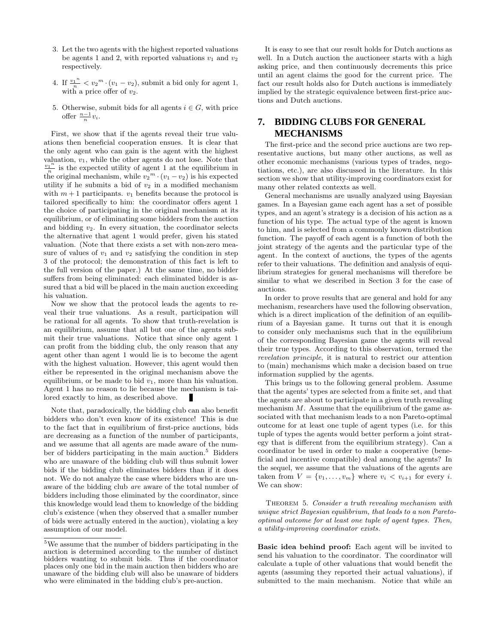- 3. Let the two agents with the highest reported valuations be agents 1 and 2, with reported valuations  $v_1$  and  $v_2$ respectively.
- 4. If  $\frac{v_1^n}{n} < v_2^m \cdot (v_1 v_2)$ , submit a bid only for agent 1, with a price offer of  $v_2$ .
- 5. Otherwise, submit bids for all agents  $i \in G$ , with price offer  $\frac{n-1}{n}v_i$ .

First, we show that if the agents reveal their true valuations then beneficial cooperation ensues. It is clear that the only agent who can gain is the agent with the highest valuation,  $v_1$ , while the other agents do not lose. Note that  $\frac{v_1^n}{n}$  $\frac{1}{n}$  is the expected utility of agent 1 at the equilibrium in the original mechanism, while  $v_2^m \cdot (v_1 - v_2)$  is his expected utility if he submits a bid of  $v_2$  in a modified mechanism with  $m + 1$  participants.  $v_1$  benefits because the protocol is tailored specifically to him: the coordinator offers agent 1 the choice of participating in the original mechanism at its equilibrium, or of eliminating some bidders from the auction and bidding  $v_2$ . In every situation, the coordinator selects the alternative that agent 1 would prefer, given his stated valuation. (Note that there exists a set with non-zero measure of values of  $v_1$  and  $v_2$  satisfying the condition in step 3 of the protocol; the demonstration of this fact is left to the full version of the paper.) At the same time, no bidder suffers from being eliminated: each eliminated bidder is assured that a bid will be placed in the main auction exceeding his valuation.

Now we show that the protocol leads the agents to reveal their true valuations. As a result, participation will be rational for all agents. To show that truth-revelation is an equilibrium, assume that all but one of the agents submit their true valuations. Notice that since only agent 1 can profit from the bidding club, the only reason that any agent other than agent 1 would lie is to become the agent with the highest valuation. However, this agent would then either be represented in the original mechanism above the equilibrium, or be made to bid  $v_1$ , more than his valuation. Agent 1 has no reason to lie because the mechanism is tailored exactly to him, as described above.

Note that, paradoxically, the bidding club can also benefit bidders who don't even know of its existence! This is due to the fact that in equilibrium of first-price auctions, bids are decreasing as a function of the number of participants, and we assume that all agents are made aware of the number of bidders participating in the main auction.<sup>5</sup> Bidders who are unaware of the bidding club will thus submit lower bids if the bidding club eliminates bidders than if it does not. We do not analyze the case where bidders who are unaware of the bidding club are aware of the total number of bidders including those eliminated by the coordinator, since this knowledge would lead them to knowledge of the bidding club's existence (when they observed that a smaller number of bids were actually entered in the auction), violating a key assumption of our model.

It is easy to see that our result holds for Dutch auctions as well. In a Dutch auction the auctioneer starts with a high asking price, and then continuously decrements this price until an agent claims the good for the current price. The fact our result holds also for Dutch auctions is immediately implied by the strategic equivalence between first-price auctions and Dutch auctions.

# **7. BIDDING CLUBS FOR GENERAL MECHANISMS**

The first-price and the second price auctions are two representative auctions, but many other auctions, as well as other economic mechanisms (various types of trades, negotiations, etc.), are also discussed in the literature. In this section we show that utility-improving coordinators exist for many other related contexts as well.

General mechanisms are usually analyzed using Bayesian games. In a Bayesian game each agent has a set of possible types, and an agent's strategy is a decision of his action as a function of his type. The actual type of the agent is known to him, and is selected from a commonly known distribution function. The payoff of each agent is a function of both the joint strategy of the agents and the particular type of the agent. In the context of auctions, the types of the agents refer to their valuations. The definition and analysis of equilibrium strategies for general mechanisms will therefore be similar to what we described in Section 3 for the case of auctions.

In order to prove results that are general and hold for any mechanism, researchers have used the following observation, which is a direct implication of the definition of an equilibrium of a Bayesian game. It turns out that it is enough to consider only mechanisms such that in the equilibrium of the corresponding Bayesian game the agents will reveal their true types. According to this observation, termed the revelation principle, it is natural to restrict our attention to (main) mechanisms which make a decision based on true information supplied by the agents.

This brings us to the following general problem. Assume that the agents' types are selected from a finite set, and that the agents are about to participate in a given truth revealing mechanism  $M$ . Assume that the equilibrium of the game associated with that mechanism leads to a non Pareto-optimal outcome for at least one tuple of agent types (i.e. for this tuple of types the agents would better perform a joint strategy that is different from the equilibrium strategy). Can a coordinator be used in order to make a cooperative (beneficial and incentive compatible) deal among the agents? In the sequel, we assume that the valuations of the agents are taken from  $V = \{v_1, \ldots, v_m\}$  where  $v_i < v_{i+1}$  for every i. We can show:

THEOREM 5. Consider a truth revealing mechanism with unique strict Bayesian equilibrium, that leads to a non Paretooptimal outcome for at least one tuple of agent types. Then, a utility-improving coordinator exists.

Basic idea behind proof: Each agent will be invited to send his valuation to the coordinator. The coordinator will calculate a tuple of other valuations that would benefit the agents (assuming they reported their actual valuations), if submitted to the main mechanism. Notice that while an

<sup>5</sup>We assume that the number of bidders participating in the auction is determined according to the number of distinct bidders wanting to submit bids. Thus if the coordinator places only one bid in the main auction then bidders who are unaware of the bidding club will also be unaware of bidders who were eliminated in the bidding club's pre-auction.